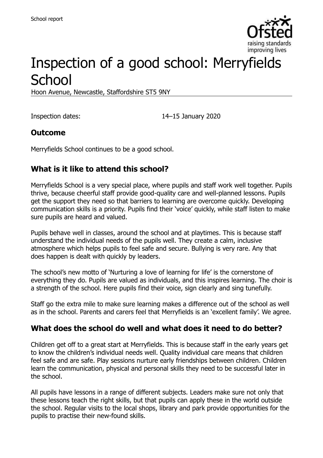

# Inspection of a good school: Merryfields **School**

Hoon Avenue, Newcastle, Staffordshire ST5 9NY

Inspection dates: 14–15 January 2020

### **Outcome**

Merryfields School continues to be a good school.

# **What is it like to attend this school?**

Merryfields School is a very special place, where pupils and staff work well together. Pupils thrive, because cheerful staff provide good-quality care and well-planned lessons. Pupils get the support they need so that barriers to learning are overcome quickly. Developing communication skills is a priority. Pupils find their 'voice' quickly, while staff listen to make sure pupils are heard and valued.

Pupils behave well in classes, around the school and at playtimes. This is because staff understand the individual needs of the pupils well. They create a calm, inclusive atmosphere which helps pupils to feel safe and secure. Bullying is very rare. Any that does happen is dealt with quickly by leaders.

The school's new motto of 'Nurturing a love of learning for life' is the cornerstone of everything they do. Pupils are valued as individuals, and this inspires learning. The choir is a strength of the school. Here pupils find their voice, sign clearly and sing tunefully.

Staff go the extra mile to make sure learning makes a difference out of the school as well as in the school. Parents and carers feel that Merryfields is an 'excellent family'. We agree.

#### **What does the school do well and what does it need to do better?**

Children get off to a great start at Merryfields. This is because staff in the early years get to know the children's individual needs well. Quality individual care means that children feel safe and are safe. Play sessions nurture early friendships between children. Children learn the communication, physical and personal skills they need to be successful later in the school.

All pupils have lessons in a range of different subjects. Leaders make sure not only that these lessons teach the right skills, but that pupils can apply these in the world outside the school. Regular visits to the local shops, library and park provide opportunities for the pupils to practise their new-found skills.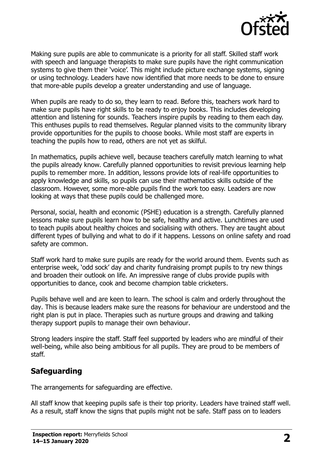

Making sure pupils are able to communicate is a priority for all staff. Skilled staff work with speech and language therapists to make sure pupils have the right communication systems to give them their 'voice'. This might include picture exchange systems, signing or using technology. Leaders have now identified that more needs to be done to ensure that more-able pupils develop a greater understanding and use of language.

When pupils are ready to do so, they learn to read. Before this, teachers work hard to make sure pupils have right skills to be ready to enjoy books. This includes developing attention and listening for sounds. Teachers inspire pupils by reading to them each day. This enthuses pupils to read themselves. Regular planned visits to the community library provide opportunities for the pupils to choose books. While most staff are experts in teaching the pupils how to read, others are not yet as skilful.

In mathematics, pupils achieve well, because teachers carefully match learning to what the pupils already know. Carefully planned opportunities to revisit previous learning help pupils to remember more. In addition, lessons provide lots of real-life opportunities to apply knowledge and skills, so pupils can use their mathematics skills outside of the classroom. However, some more-able pupils find the work too easy. Leaders are now looking at ways that these pupils could be challenged more.

Personal, social, health and economic (PSHE) education is a strength. Carefully planned lessons make sure pupils learn how to be safe, healthy and active. Lunchtimes are used to teach pupils about healthy choices and socialising with others. They are taught about different types of bullying and what to do if it happens. Lessons on online safety and road safety are common.

Staff work hard to make sure pupils are ready for the world around them. Events such as enterprise week, 'odd sock' day and charity fundraising prompt pupils to try new things and broaden their outlook on life. An impressive range of clubs provide pupils with opportunities to dance, cook and become champion table cricketers.

Pupils behave well and are keen to learn. The school is calm and orderly throughout the day. This is because leaders make sure the reasons for behaviour are understood and the right plan is put in place. Therapies such as nurture groups and drawing and talking therapy support pupils to manage their own behaviour.

Strong leaders inspire the staff. Staff feel supported by leaders who are mindful of their well-being, while also being ambitious for all pupils. They are proud to be members of staff.

# **Safeguarding**

The arrangements for safeguarding are effective.

All staff know that keeping pupils safe is their top priority. Leaders have trained staff well. As a result, staff know the signs that pupils might not be safe. Staff pass on to leaders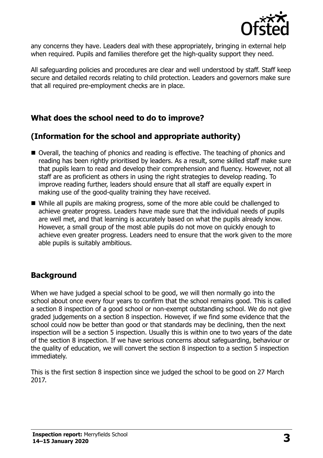

any concerns they have. Leaders deal with these appropriately, bringing in external help when required. Pupils and families therefore get the high-quality support they need.

All safeguarding policies and procedures are clear and well understood by staff. Staff keep secure and detailed records relating to child protection. Leaders and governors make sure that all required pre-employment checks are in place.

#### **What does the school need to do to improve?**

### **(Information for the school and appropriate authority)**

- Overall, the teaching of phonics and reading is effective. The teaching of phonics and reading has been rightly prioritised by leaders. As a result, some skilled staff make sure that pupils learn to read and develop their comprehension and fluency. However, not all staff are as proficient as others in using the right strategies to develop reading. To improve reading further, leaders should ensure that all staff are equally expert in making use of the good-quality training they have received.
- While all pupils are making progress, some of the more able could be challenged to achieve greater progress. Leaders have made sure that the individual needs of pupils are well met, and that learning is accurately based on what the pupils already know. However, a small group of the most able pupils do not move on quickly enough to achieve even greater progress. Leaders need to ensure that the work given to the more able pupils is suitably ambitious.

#### **Background**

When we have judged a special school to be good, we will then normally go into the school about once every four years to confirm that the school remains good. This is called a section 8 inspection of a good school or non-exempt outstanding school. We do not give graded judgements on a section 8 inspection. However, if we find some evidence that the school could now be better than good or that standards may be declining, then the next inspection will be a section 5 inspection. Usually this is within one to two years of the date of the section 8 inspection. If we have serious concerns about safeguarding, behaviour or the quality of education, we will convert the section 8 inspection to a section 5 inspection immediately.

This is the first section 8 inspection since we judged the school to be good on 27 March 2017.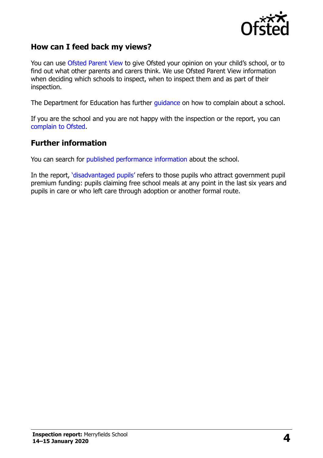

#### **How can I feed back my views?**

You can use [Ofsted Parent View](https://parentview.ofsted.gov.uk/) to give Ofsted your opinion on your child's school, or to find out what other parents and carers think. We use Ofsted Parent View information when deciding which schools to inspect, when to inspect them and as part of their inspection.

The Department for Education has further [guidance](http://www.gov.uk/complain-about-school) on how to complain about a school.

If you are the school and you are not happy with the inspection or the report, you can [complain to Ofsted.](https://www.gov.uk/complain-ofsted-report)

#### **Further information**

You can search for [published performance information](http://www.compare-school-performance.service.gov.uk/) about the school.

In the report, '[disadvantaged pupils](http://www.gov.uk/guidance/pupil-premium-information-for-schools-and-alternative-provision-settings)' refers to those pupils who attract government pupil premium funding: pupils claiming free school meals at any point in the last six years and pupils in care or who left care through adoption or another formal route.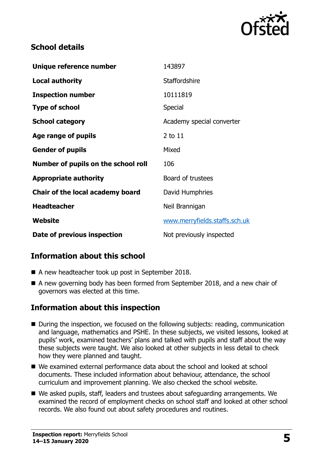

# **School details**

| Unique reference number             | 143897                        |
|-------------------------------------|-------------------------------|
| <b>Local authority</b>              | <b>Staffordshire</b>          |
| <b>Inspection number</b>            | 10111819                      |
| <b>Type of school</b>               | <b>Special</b>                |
| <b>School category</b>              | Academy special converter     |
| Age range of pupils                 | 2 to 11                       |
| <b>Gender of pupils</b>             | Mixed                         |
| Number of pupils on the school roll | 106                           |
| <b>Appropriate authority</b>        | Board of trustees             |
| Chair of the local academy board    | David Humphries               |
| <b>Headteacher</b>                  | Neil Brannigan                |
| Website                             | www.merryfields.staffs.sch.uk |
| Date of previous inspection         | Not previously inspected      |

# **Information about this school**

- A new headteacher took up post in September 2018.
- A new governing body has been formed from September 2018, and a new chair of governors was elected at this time.

# **Information about this inspection**

- During the inspection, we focused on the following subjects: reading, communication and language, mathematics and PSHE. In these subjects, we visited lessons, looked at pupils' work, examined teachers' plans and talked with pupils and staff about the way these subjects were taught. We also looked at other subjects in less detail to check how they were planned and taught.
- We examined external performance data about the school and looked at school documents. These included information about behaviour, attendance, the school curriculum and improvement planning. We also checked the school website.
- We asked pupils, staff, leaders and trustees about safeguarding arrangements. We examined the record of employment checks on school staff and looked at other school records. We also found out about safety procedures and routines.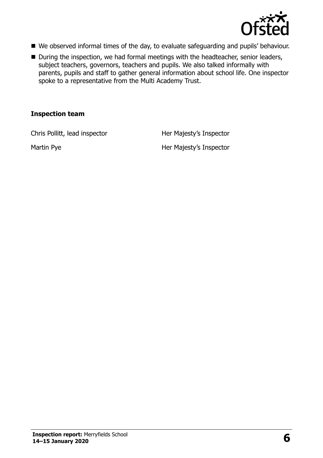

- We observed informal times of the day, to evaluate safeguarding and pupils' behaviour.
- During the inspection, we had formal meetings with the headteacher, senior leaders, subject teachers, governors, teachers and pupils. We also talked informally with parents, pupils and staff to gather general information about school life. One inspector spoke to a representative from the Multi Academy Trust.

#### **Inspection team**

Chris Pollitt, lead inspector **Her Majesty's Inspector** 

Martin Pye **Her Majesty's Inspector**